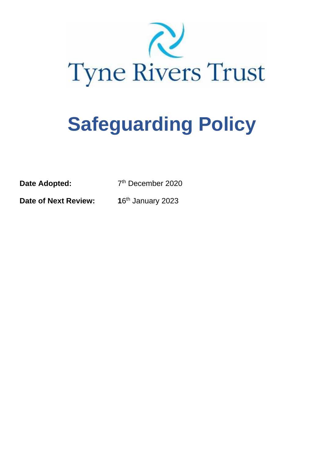

# **Safeguarding Policy**

**Date Adopted:** 

7<sup>th</sup> December 2020

**Date of Next Review:** 

16<sup>th</sup> January 2023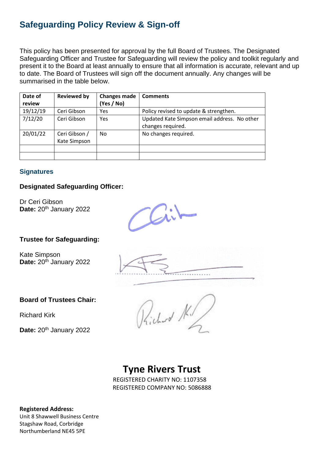### **Safeguarding Policy Review & Sign-off**

This policy has been presented for approval by the full Board of Trustees. The Designated Safeguarding Officer and Trustee for Safeguarding will review the policy and toolkit regularly and present it to the Board at least annually to ensure that all information is accurate, relevant and up to date. The Board of Trustees will sign off the document annually. Any changes will be summarised in the table below.

| Date of<br>review | <b>Reviewed by</b>            | <b>Changes made</b><br>(Yes / No) | <b>Comments</b>                                                   |
|-------------------|-------------------------------|-----------------------------------|-------------------------------------------------------------------|
| 19/12/19          | Ceri Gibson                   | Yes                               | Policy revised to update & strengthen.                            |
| 7/12/20           | Ceri Gibson                   | Yes                               | Updated Kate Simpson email address. No other<br>changes required. |
| 20/01/22          | Ceri Gibson /<br>Kate Simpson | No                                | No changes required.                                              |
|                   |                               |                                   |                                                                   |
|                   |                               |                                   |                                                                   |

#### **Signatures**

#### **Designated Safeguarding Officer:**

Dr Ceri Gibson Date: 20<sup>th</sup> January 2022

#### **Trustee for Safeguarding:**

Kate Simpson **Date: 20th January 2022** 

#### **Board of Trustees Chair:**

Richard Kirk

**Date: 20th January 2022** 

# **Tyne Rivers Trust**

REGISTERED CHARITY NO: 1107358 REGISTERED COMPANY NO: 5086888

**Registered Address:**

Unit 8 Shawwell Business Centre Stagshaw Road, Corbridge Northumberland NE45 5PE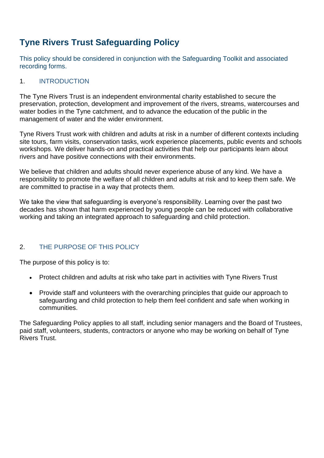## **Tyne Rivers Trust Safeguarding Policy**

This policy should be considered in conjunction with the Safeguarding Toolkit and associated recording forms.

#### 1. INTRODUCTION

The Tyne Rivers Trust is an independent environmental charity established to secure the preservation, protection, development and improvement of the rivers, streams, watercourses and water bodies in the Tyne catchment, and to advance the education of the public in the management of water and the wider environment.

Tyne Rivers Trust work with children and adults at risk in a number of different contexts including site tours, farm visits, conservation tasks, work experience placements, public events and schools workshops. We deliver hands-on and practical activities that help our participants learn about rivers and have positive connections with their environments.

We believe that children and adults should never experience abuse of any kind. We have a responsibility to promote the welfare of all children and adults at risk and to keep them safe. We are committed to practise in a way that protects them.

We take the view that safeguarding is everyone's responsibility. Learning over the past two decades has shown that harm experienced by young people can be reduced with collaborative working and taking an integrated approach to safeguarding and child protection.

#### 2. THE PURPOSE OF THIS POLICY

The purpose of this policy is to:

- Protect children and adults at risk who take part in activities with Tyne Rivers Trust
- Provide staff and volunteers with the overarching principles that guide our approach to safeguarding and child protection to help them feel confident and safe when working in communities.

The Safeguarding Policy applies to all staff, including senior managers and the Board of Trustees, paid staff, volunteers, students, contractors or anyone who may be working on behalf of Tyne Rivers Trust.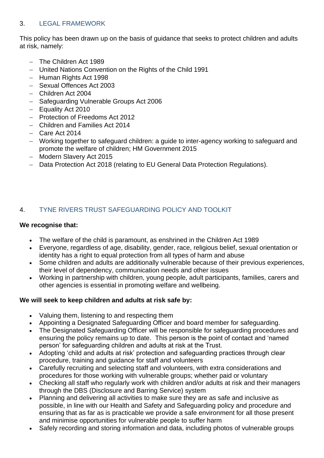#### 3. LEGAL FRAMEWORK

This policy has been drawn up on the basis of guidance that seeks to protect children and adults at risk, namely:

- − The Children Act 1989
- − United Nations Convention on the Rights of the Child 1991
- − Human Rights Act 1998
- − Sexual Offences Act 2003
- − Children Act 2004
- − Safeguarding Vulnerable Groups Act 2006
- − Equality Act 2010
- − Protection of Freedoms Act 2012
- − Children and Families Act 2014
- − Care Act 2014
- − Working together to safeguard children: a guide to inter-agency working to safeguard and promote the welfare of children; HM Government 2015
- − Modern Slavery Act 2015
- − Data Protection Act 2018 (relating to EU General Data Protection Regulations).

#### 4. TYNE RIVERS TRUST SAFEGUARDING POLICY AND TOOLKIT

#### **We recognise that:**

- The welfare of the child is paramount, as enshrined in the Children Act 1989
- Everyone, regardless of age, disability, gender, race, religious belief, sexual orientation or identity has a right to equal protection from all types of harm and abuse
- Some children and adults are additionally vulnerable because of their previous experiences, their level of dependency, communication needs and other issues
- Working in partnership with children, young people, adult participants, families, carers and other agencies is essential in promoting welfare and wellbeing.

#### **We will seek to keep children and adults at risk safe by:**

- Valuing them, listening to and respecting them
- Appointing a Designated Safeguarding Officer and board member for safeguarding.
- The Designated Safeguarding Officer will be responsible for safeguarding procedures and ensuring the policy remains up to date. This person is the point of contact and 'named person' for safeguarding children and adults at risk at the Trust.
- Adopting 'child and adults at risk' protection and safeguarding practices through clear procedure, training and guidance for staff and volunteers
- Carefully recruiting and selecting staff and volunteers, with extra considerations and procedures for those working with vulnerable groups; whether paid or voluntary
- Checking all staff who regularly work with children and/or adults at risk and their managers through the DBS (Disclosure and Barring Service) system
- Planning and delivering all activities to make sure they are as safe and inclusive as possible, in line with our Health and Safety and Safeguarding policy and procedure and ensuring that as far as is practicable we provide a safe environment for all those present and minimise opportunities for vulnerable people to suffer harm
- Safely recording and storing information and data, including photos of vulnerable groups